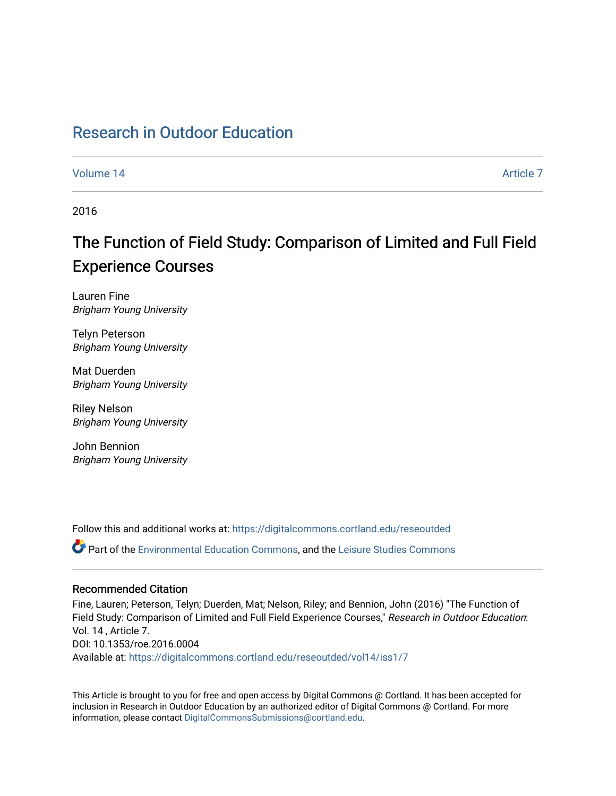## [Research in Outdoor Education](https://digitalcommons.cortland.edu/reseoutded)

[Volume 14](https://digitalcommons.cortland.edu/reseoutded/vol14) Article 7

2016

# The Function of Field Study: Comparison of Limited and Full Field Experience Courses

Lauren Fine Brigham Young University

Telyn Peterson Brigham Young University

Mat Duerden Brigham Young University

Riley Nelson Brigham Young University

John Bennion Brigham Young University

Follow this and additional works at: [https://digitalcommons.cortland.edu/reseoutded](https://digitalcommons.cortland.edu/reseoutded?utm_source=digitalcommons.cortland.edu%2Freseoutded%2Fvol14%2Fiss1%2F7&utm_medium=PDF&utm_campaign=PDFCoverPages)

Part of the [Environmental Education Commons](http://network.bepress.com/hgg/discipline/1305?utm_source=digitalcommons.cortland.edu%2Freseoutded%2Fvol14%2Fiss1%2F7&utm_medium=PDF&utm_campaign=PDFCoverPages), and the [Leisure Studies Commons](http://network.bepress.com/hgg/discipline/1197?utm_source=digitalcommons.cortland.edu%2Freseoutded%2Fvol14%2Fiss1%2F7&utm_medium=PDF&utm_campaign=PDFCoverPages) 

#### Recommended Citation

Fine, Lauren; Peterson, Telyn; Duerden, Mat; Nelson, Riley; and Bennion, John (2016) "The Function of Field Study: Comparison of Limited and Full Field Experience Courses," Research in Outdoor Education: Vol. 14 , Article 7. DOI: 10.1353/roe.2016.0004 Available at: [https://digitalcommons.cortland.edu/reseoutded/vol14/iss1/7](https://digitalcommons.cortland.edu/reseoutded/vol14/iss1/7?utm_source=digitalcommons.cortland.edu%2Freseoutded%2Fvol14%2Fiss1%2F7&utm_medium=PDF&utm_campaign=PDFCoverPages) 

This Article is brought to you for free and open access by Digital Commons @ Cortland. It has been accepted for inclusion in Research in Outdoor Education by an authorized editor of Digital Commons @ Cortland. For more information, please contact [DigitalCommonsSubmissions@cortland.edu](mailto:DigitalCommonsSubmissions@cortland.edu).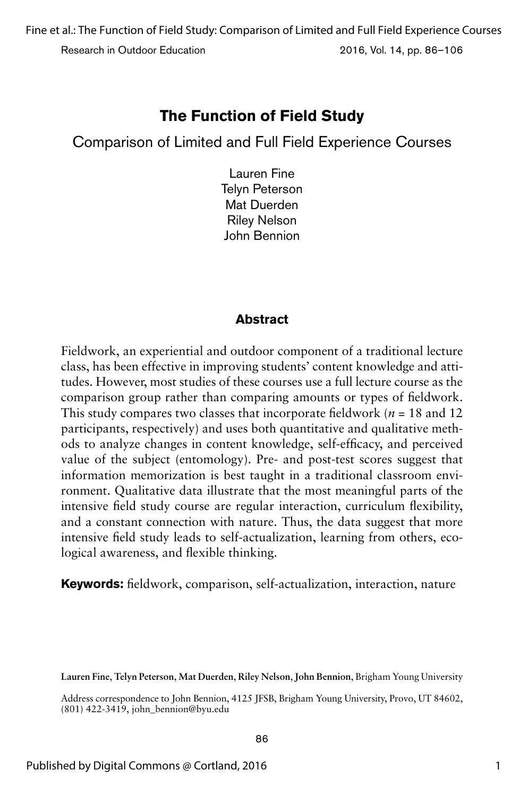Comparison of Limited and Full Field Experience Courses

Lauren Fine Telyn Peterson Mat Duerden Riley Nelson John Bennion

## **Abstract**

Fieldwork, an experiential and outdoor component of a traditional lecture class, has been effective in improving students' content knowledge and attitudes. However, most studies of these courses use a full lecture course as the comparison group rather than comparing amounts or types of fieldwork. This study compares two classes that incorporate fieldwork ( $n = 18$  and 12 participants, respectively) and uses both quantitative and qualitative methods to analyze changes in content knowledge, self-efficacy, and perceived value of the subject (entomology). Pre- and post-test scores suggest that information memorization is best taught in a traditional classroom environment. Qualitative data illustrate that the most meaningful parts of the intensive field study course are regular interaction, curriculum flexibility, and a constant connection with nature. Thus, the data suggest that more intensive field study leads to self-actualization, learning from others, ecological awareness, and flexible thinking.

**Keywords:** fieldwork, comparison, self-actualization, interaction, nature

**Lauren Fine**, **Telyn Peterson**, **Mat Duerden**, **Riley Nelson**, **John Bennion**, Brigham Young University

Address correspondence to John Bennion, 4125 JFSB, Brigham Young University, Provo, UT 84602, (801) 422-3419, john\_bennion@byu.edu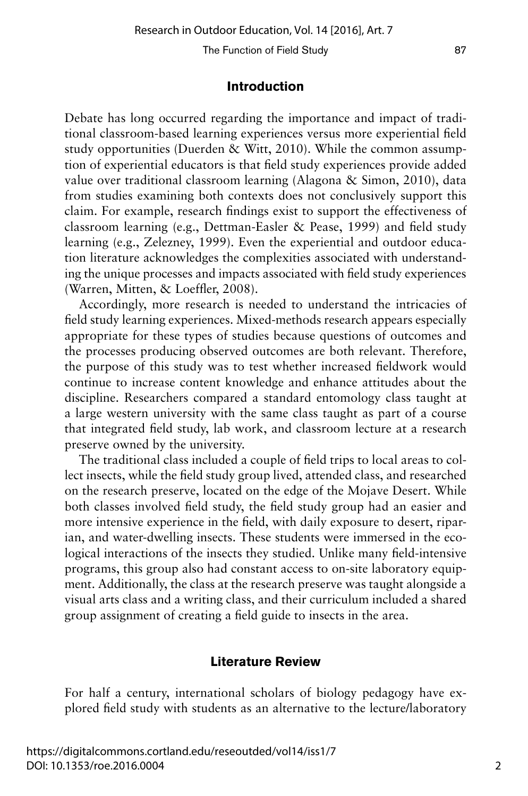#### **Introduction**

Debate has long occurred regarding the importance and impact of traditional classroom-based learning experiences versus more experiential field study opportunities (Duerden & Witt, 2010). While the common assumption of experiential educators is that field study experiences provide added value over traditional classroom learning (Alagona & Simon, 2010), data from studies examining both contexts does not conclusively support this claim. For example, research findings exist to support the effectiveness of classroom learning (e.g., Dettman-Easler & Pease, 1999) and field study learning (e.g., Zelezney, 1999). Even the experiential and outdoor education literature acknowledges the complexities associated with understanding the unique processes and impacts associated with field study experiences (Warren, Mitten, & Loeffler, 2008).

Accordingly, more research is needed to understand the intricacies of field study learning experiences. Mixed-methods research appears especially appropriate for these types of studies because questions of outcomes and the processes producing observed outcomes are both relevant. Therefore, the purpose of this study was to test whether increased fieldwork would continue to increase content knowledge and enhance attitudes about the discipline. Researchers compared a standard entomology class taught at a large western university with the same class taught as part of a course that integrated field study, lab work, and classroom lecture at a research preserve owned by the university.

The traditional class included a couple of field trips to local areas to collect insects, while the field study group lived, attended class, and researched on the research preserve, located on the edge of the Mojave Desert. While both classes involved field study, the field study group had an easier and more intensive experience in the field, with daily exposure to desert, riparian, and water-dwelling insects. These students were immersed in the ecological interactions of the insects they studied. Unlike many field-intensive programs, this group also had constant access to on-site laboratory equipment. Additionally, the class at the research preserve was taught alongside a visual arts class and a writing class, and their curriculum included a shared group assignment of creating a field guide to insects in the area.

#### **Literature Review**

For half a century, international scholars of biology pedagogy have explored field study with students as an alternative to the lecture/laboratory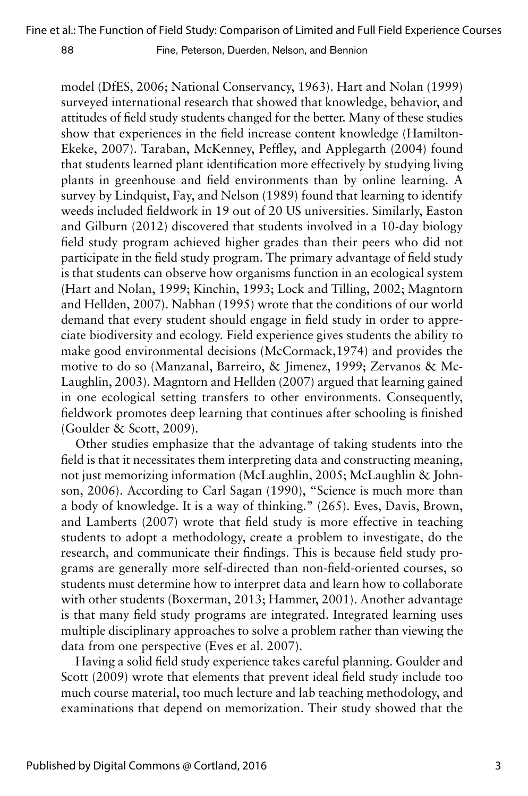88 Fine, Peterson, Duerden, Nelson, and Bennion

model (DfES, 2006; National Conservancy, 1963). Hart and Nolan (1999) surveyed international research that showed that knowledge, behavior, and attitudes of field study students changed for the better. Many of these studies show that experiences in the field increase content knowledge (Hamilton-Ekeke, 2007). Taraban, McKenney, Peffley, and Applegarth (2004) found that students learned plant identification more effectively by studying living plants in greenhouse and field environments than by online learning. A survey by Lindquist, Fay, and Nelson (1989) found that learning to identify weeds included fieldwork in 19 out of 20 US universities. Similarly, Easton and Gilburn (2012) discovered that students involved in a 10-day biology field study program achieved higher grades than their peers who did not participate in the field study program. The primary advantage of field study is that students can observe how organisms function in an ecological system (Hart and Nolan, 1999; Kinchin, 1993; Lock and Tilling, 2002; Magntorn and Hellden, 2007). Nabhan (1995) wrote that the conditions of our world demand that every student should engage in field study in order to appreciate biodiversity and ecology. Field experience gives students the ability to make good environmental decisions (McCormack,1974) and provides the motive to do so (Manzanal, Barreiro, & Jimenez, 1999; Zervanos & Mc-Laughlin, 2003). Magntorn and Hellden (2007) argued that learning gained in one ecological setting transfers to other environments. Consequently, fieldwork promotes deep learning that continues after schooling is finished (Goulder & Scott, 2009).

Other studies emphasize that the advantage of taking students into the field is that it necessitates them interpreting data and constructing meaning, not just memorizing information (McLaughlin, 2005; McLaughlin & Johnson, 2006). According to Carl Sagan (1990), "Science is much more than a body of knowledge. It is a way of thinking." (265). Eves, Davis, Brown, and Lamberts (2007) wrote that field study is more effective in teaching students to adopt a methodology, create a problem to investigate, do the research, and communicate their findings. This is because field study programs are generally more self-directed than non-field-oriented courses, so students must determine how to interpret data and learn how to collaborate with other students (Boxerman, 2013; Hammer, 2001). Another advantage is that many field study programs are integrated. Integrated learning uses multiple disciplinary approaches to solve a problem rather than viewing the data from one perspective (Eves et al. 2007).

Having a solid field study experience takes careful planning. Goulder and Scott (2009) wrote that elements that prevent ideal field study include too much course material, too much lecture and lab teaching methodology, and examinations that depend on memorization. Their study showed that the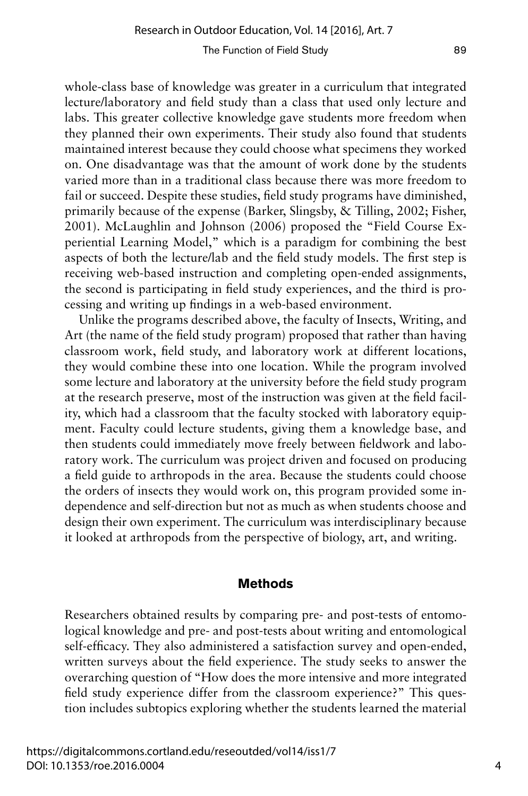whole-class base of knowledge was greater in a curriculum that integrated lecture/laboratory and field study than a class that used only lecture and labs. This greater collective knowledge gave students more freedom when they planned their own experiments. Their study also found that students maintained interest because they could choose what specimens they worked on. One disadvantage was that the amount of work done by the students varied more than in a traditional class because there was more freedom to fail or succeed. Despite these studies, field study programs have diminished, primarily because of the expense (Barker, Slingsby, & Tilling, 2002; Fisher, 2001). McLaughlin and Johnson (2006) proposed the "Field Course Experiential Learning Model," which is a paradigm for combining the best aspects of both the lecture/lab and the field study models. The first step is receiving web-based instruction and completing open-ended assignments, the second is participating in field study experiences, and the third is processing and writing up findings in a web-based environment.

Unlike the programs described above, the faculty of Insects, Writing, and Art (the name of the field study program) proposed that rather than having classroom work, field study, and laboratory work at different locations, they would combine these into one location. While the program involved some lecture and laboratory at the university before the field study program at the research preserve, most of the instruction was given at the field facility, which had a classroom that the faculty stocked with laboratory equipment. Faculty could lecture students, giving them a knowledge base, and then students could immediately move freely between fieldwork and laboratory work. The curriculum was project driven and focused on producing a field guide to arthropods in the area. Because the students could choose the orders of insects they would work on, this program provided some independence and self-direction but not as much as when students choose and design their own experiment. The curriculum was interdisciplinary because it looked at arthropods from the perspective of biology, art, and writing.

#### **Methods**

Researchers obtained results by comparing pre- and post-tests of entomological knowledge and pre- and post-tests about writing and entomological self-efficacy. They also administered a satisfaction survey and open-ended, written surveys about the field experience. The study seeks to answer the overarching question of "How does the more intensive and more integrated field study experience differ from the classroom experience?" This question includes subtopics exploring whether the students learned the material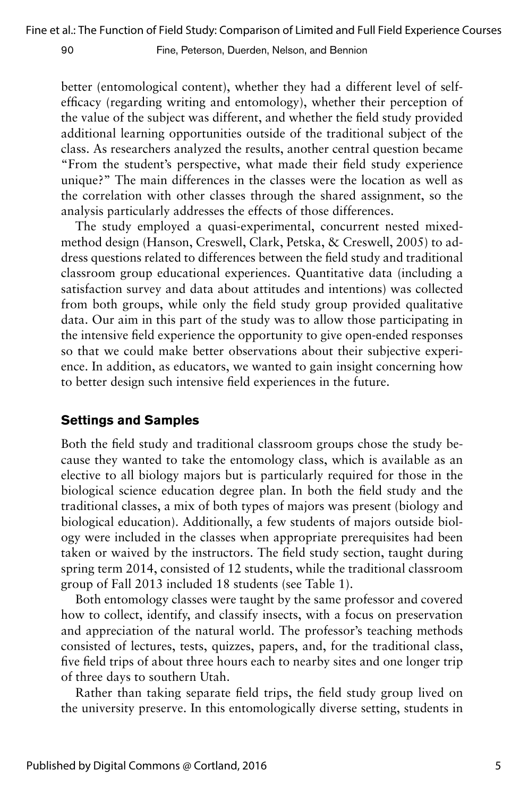90 Fine, Peterson, Duerden, Nelson, and Bennion

better (entomological content), whether they had a different level of selfefficacy (regarding writing and entomology), whether their perception of the value of the subject was different, and whether the field study provided additional learning opportunities outside of the traditional subject of the class. As researchers analyzed the results, another central question became "From the student's perspective, what made their field study experience unique?" The main differences in the classes were the location as well as the correlation with other classes through the shared assignment, so the analysis particularly addresses the effects of those differences.

The study employed a quasi-experimental, concurrent nested mixedmethod design (Hanson, Creswell, Clark, Petska, & Creswell, 2005) to address questions related to differences between the field study and traditional classroom group educational experiences. Quantitative data (including a satisfaction survey and data about attitudes and intentions) was collected from both groups, while only the field study group provided qualitative data. Our aim in this part of the study was to allow those participating in the intensive field experience the opportunity to give open-ended responses so that we could make better observations about their subjective experience. In addition, as educators, we wanted to gain insight concerning how to better design such intensive field experiences in the future.

#### **Settings and Samples**

Both the field study and traditional classroom groups chose the study because they wanted to take the entomology class, which is available as an elective to all biology majors but is particularly required for those in the biological science education degree plan. In both the field study and the traditional classes, a mix of both types of majors was present (biology and biological education). Additionally, a few students of majors outside biology were included in the classes when appropriate prerequisites had been taken or waived by the instructors. The field study section, taught during spring term 2014, consisted of 12 students, while the traditional classroom group of Fall 2013 included 18 students (see Table 1).

Both entomology classes were taught by the same professor and covered how to collect, identify, and classify insects, with a focus on preservation and appreciation of the natural world. The professor's teaching methods consisted of lectures, tests, quizzes, papers, and, for the traditional class, five field trips of about three hours each to nearby sites and one longer trip of three days to southern Utah.

Rather than taking separate field trips, the field study group lived on the university preserve. In this entomologically diverse setting, students in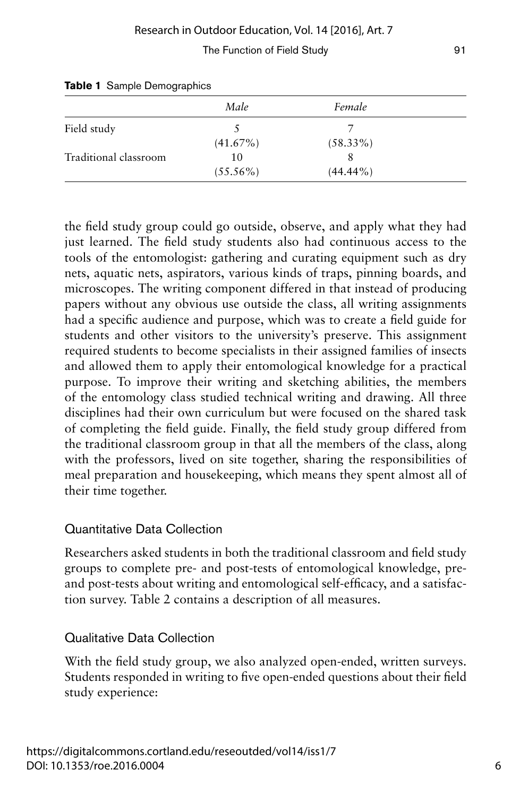|                       | Male          | Female      |  |
|-----------------------|---------------|-------------|--|
| Field study           | $\mathcal{L}$ |             |  |
|                       | $(41.67\%)$   | $(58.33\%)$ |  |
| Traditional classroom | 10            |             |  |
|                       | $(55.56\%)$   | $(44.44\%)$ |  |

|  |  | Table 1 Sample Demographics |
|--|--|-----------------------------|
|--|--|-----------------------------|

the field study group could go outside, observe, and apply what they had just learned. The field study students also had continuous access to the tools of the entomologist: gathering and curating equipment such as dry nets, aquatic nets, aspirators, various kinds of traps, pinning boards, and microscopes. The writing component differed in that instead of producing papers without any obvious use outside the class, all writing assignments had a specific audience and purpose, which was to create a field guide for students and other visitors to the university's preserve. This assignment required students to become specialists in their assigned families of insects and allowed them to apply their entomological knowledge for a practical purpose. To improve their writing and sketching abilities, the members of the entomology class studied technical writing and drawing. All three disciplines had their own curriculum but were focused on the shared task of completing the field guide. Finally, the field study group differed from the traditional classroom group in that all the members of the class, along with the professors, lived on site together, sharing the responsibilities of meal preparation and housekeeping, which means they spent almost all of their time together.

## Quantitative Data Collection

Researchers asked students in both the traditional classroom and field study groups to complete pre- and post-tests of entomological knowledge, preand post-tests about writing and entomological self-efficacy, and a satisfaction survey. Table 2 contains a description of all measures.

## Qualitative Data Collection

With the field study group, we also analyzed open-ended, written surveys. Students responded in writing to five open-ended questions about their field study experience: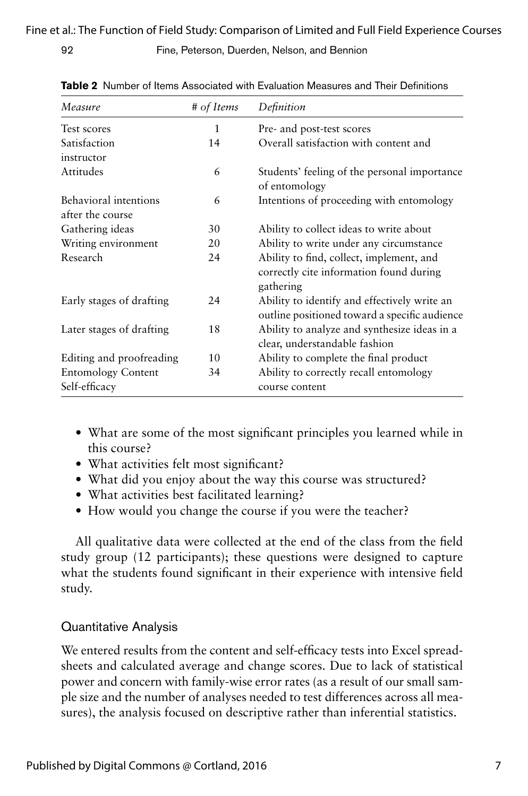92 Fine, Peterson, Duerden, Nelson, and Bennion

| Measure                   | # of Items | Definition                                                                                       |
|---------------------------|------------|--------------------------------------------------------------------------------------------------|
| <b>Test scores</b>        | 1          | Pre- and post-test scores                                                                        |
| Satisfaction              | 14         | Overall satisfaction with content and                                                            |
| instructor                |            |                                                                                                  |
| Attitudes                 | 6          | Students' feeling of the personal importance<br>of entomology                                    |
| Behavioral intentions     | 6          | Intentions of proceeding with entomology                                                         |
| after the course          |            |                                                                                                  |
| Gathering ideas           | 30         | Ability to collect ideas to write about                                                          |
| Writing environment       | 20         | Ability to write under any circumstance                                                          |
| Research                  | 24         | Ability to find, collect, implement, and<br>correctly cite information found during<br>gathering |
| Early stages of drafting  | 24         | Ability to identify and effectively write an<br>outline positioned toward a specific audience    |
| Later stages of drafting  | 18         | Ability to analyze and synthesize ideas in a<br>clear, understandable fashion                    |
| Editing and proofreading  | 10         | Ability to complete the final product                                                            |
| <b>Entomology Content</b> | 34         | Ability to correctly recall entomology                                                           |
| Self-efficacy             |            | course content                                                                                   |

**Table 2** Number of Items Associated with Evaluation Measures and Their Definitions

- What are some of the most significant principles you learned while in this course?
- What activities felt most significant?
- What did you enjoy about the way this course was structured?
- What activities best facilitated learning?
- How would you change the course if you were the teacher?

All qualitative data were collected at the end of the class from the field study group (12 participants); these questions were designed to capture what the students found significant in their experience with intensive field study.

## Quantitative Analysis

We entered results from the content and self-efficacy tests into Excel spreadsheets and calculated average and change scores. Due to lack of statistical power and concern with family-wise error rates (as a result of our small sample size and the number of analyses needed to test differences across all measures), the analysis focused on descriptive rather than inferential statistics.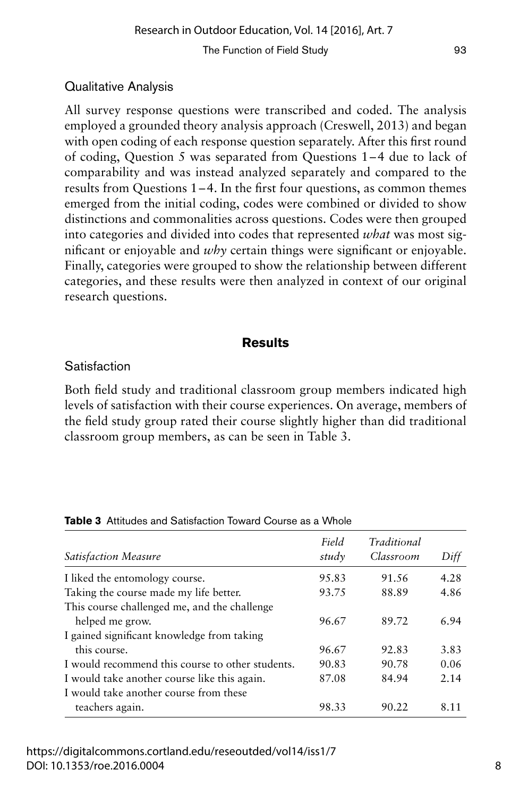## Qualitative Analysis

All survey response questions were transcribed and coded. The analysis employed a grounded theory analysis approach (Creswell, 2013) and began with open coding of each response question separately. After this first round of coding, Question 5 was separated from Questions 1–4 due to lack of comparability and was instead analyzed separately and compared to the results from Questions 1–4. In the first four questions, as common themes emerged from the initial coding, codes were combined or divided to show distinctions and commonalities across questions. Codes were then grouped into categories and divided into codes that represented *what* was most significant or enjoyable and *why* certain things were significant or enjoyable. Finally, categories were grouped to show the relationship between different categories, and these results were then analyzed in context of our original research questions.

## **Results**

## Satisfaction

Both field study and traditional classroom group members indicated high levels of satisfaction with their course experiences. On average, members of the field study group rated their course slightly higher than did traditional classroom group members, as can be seen in Table 3.

| <b>Satisfaction Measure</b>                      | Field<br>study | Traditional<br>Classroom | Diff |
|--------------------------------------------------|----------------|--------------------------|------|
|                                                  |                |                          |      |
| I liked the entomology course.                   | 95.83          | 91.56                    | 4.28 |
| Taking the course made my life better.           | 93.75          | 88.89                    | 4.86 |
| This course challenged me, and the challenge     |                |                          |      |
| helped me grow.                                  | 96.67          | 89.72                    | 6.94 |
| I gained significant knowledge from taking       |                |                          |      |
| this course.                                     | 96.67          | 92.83                    | 3.83 |
| I would recommend this course to other students. | 90.83          | 90.78                    | 0.06 |
| I would take another course like this again.     | 87.08          | 84.94                    | 2.14 |
| I would take another course from these           |                |                          |      |
| teachers again.                                  | 98.33          | 90.22                    | 811  |

#### **Table 3** Attitudes and Satisfaction Toward Course as a Whole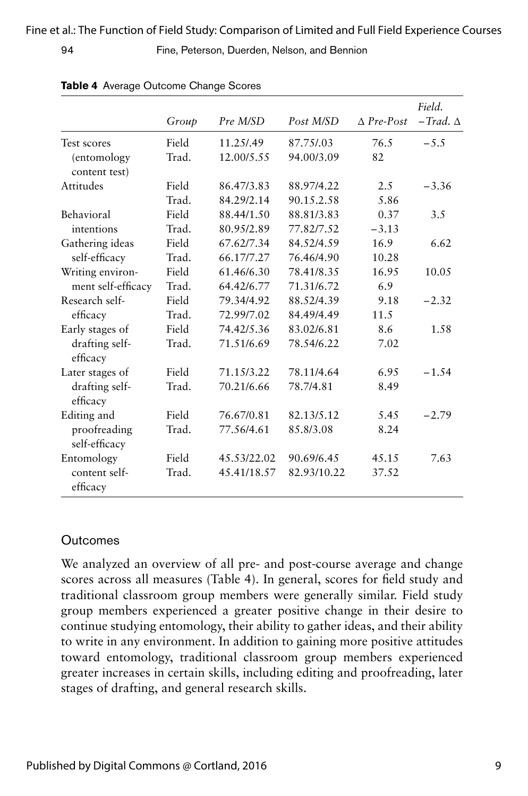94 Fine, Peterson, Duerden, Nelson, and Bennion

|                               | Group | Pre M/SD    | Post M/SD   | $\triangle Pre-Post$ | Field.<br>$- Trad. \Delta$ |
|-------------------------------|-------|-------------|-------------|----------------------|----------------------------|
| <b>Test scores</b>            | Field | 11.2.5/.49  | 87.75/.03   | 76.5                 | $-5.5$                     |
| (entomology<br>content test)  | Trad. | 12.00/5.55  | 94.00/3.09  | 82.                  |                            |
| Attitudes                     | Field | 86.47/3.83  | 88.97/4.22  | 2.5                  | $-3.36$                    |
|                               | Trad. | 84.29/2.14  | 90.15.2.58  | 5.86                 |                            |
| Behavioral                    | Field | 88.44/1.50  | 88.81/3.83  | 0.37                 | 3.5                        |
| intentions                    | Trad. | 80.95/2.89  | 77.82/7.52  | $-3.13$              |                            |
| Gathering ideas               | Field | 67.62/7.34  | 84.52/4.59  | 16.9                 | 6.62                       |
| self-efficacy                 | Trad. | 66.17/7.27  | 76.46/4.90  | 10.28                |                            |
| Writing environ-              | Field | 61.46/6.30  | 78.41/8.35  | 16.95                | 10.05                      |
| ment self-efficacy            | Trad. | 64.42/6.77  | 71.31/6.72  | 6.9                  |                            |
| Research self-                | Field | 79.34/4.92  | 88.52/4.39  | 9.18                 | $-2.32$                    |
| efficacy                      | Trad. | 72.99/7.02  | 84.49/4.49  | 11.5                 |                            |
| Early stages of               | Field | 74.42/5.36  | 83.02/6.81  | 8.6                  | 1.58                       |
| drafting self-<br>efficacy    | Trad. | 71.51/6.69  | 78.54/6.22  | 7.02                 |                            |
| Later stages of               | Field | 71.15/3.22  | 78.11/4.64  | 6.95                 | $-1.54$                    |
| drafting self-<br>efficacy    | Trad. | 70.21/6.66  | 78.7/4.81   | 8.49                 |                            |
| Editing and                   | Field | 76.67/0.81  | 82.13/5.12  | 5.45                 | $-2.79$                    |
| proofreading<br>self-efficacy | Trad. | 77.56/4.61  | 85.8/3.08   | 8.24                 |                            |
| Entomology                    | Field | 45.53/22.02 | 90.69/6.45  | 45.15                | 7.63                       |
| content self-<br>efficacy     | Trad. | 45.41/18.57 | 82.93/10.22 | 37.52                |                            |

| Table 4 Average Outcome Change Scores |  |  |  |  |  |
|---------------------------------------|--|--|--|--|--|
|---------------------------------------|--|--|--|--|--|

## **Outcomes**

We analyzed an overview of all pre- and post-course average and change scores across all measures (Table 4). In general, scores for field study and traditional classroom group members were generally similar. Field study group members experienced a greater positive change in their desire to continue studying entomology, their ability to gather ideas, and their ability to write in any environment. In addition to gaining more positive attitudes toward entomology, traditional classroom group members experienced greater increases in certain skills, including editing and proofreading, later stages of drafting, and general research skills.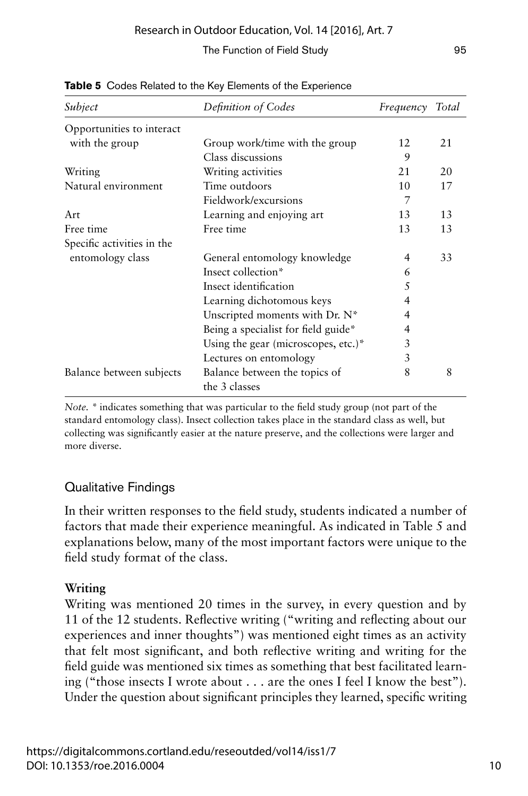| Subject                    | Definition of Codes                            | Frequency Total |    |
|----------------------------|------------------------------------------------|-----------------|----|
| Opportunities to interact  |                                                |                 |    |
| with the group             | Group work/time with the group                 | 12              | 21 |
|                            | Class discussions                              | 9               |    |
| Writing                    | Writing activities                             | 21              | 20 |
| Natural environment        | Time outdoors                                  | 10              | 17 |
|                            | Fieldwork/excursions                           | 7               |    |
| Art                        | Learning and enjoying art                      | 13              | 13 |
| Free time                  | Free time                                      | 13              | 13 |
| Specific activities in the |                                                |                 |    |
| entomology class           | General entomology knowledge                   | 4               | 33 |
|                            | Insect collection*                             | 6               |    |
|                            | Insect identification                          | 5               |    |
|                            | Learning dichotomous keys                      | 4               |    |
|                            | Unscripted moments with Dr. $N^*$              | 4               |    |
|                            | Being a specialist for field guide*            | 4               |    |
|                            | Using the gear (microscopes, etc.)*            | 3               |    |
|                            | Lectures on entomology                         | 3               |    |
| Balance between subjects   | Balance between the topics of<br>the 3 classes | 8               | 8  |

#### **Table 5** Codes Related to the Key Elements of the Experience

*Note. \** indicates something that was particular to the field study group (not part of the standard entomology class). Insect collection takes place in the standard class as well, but collecting was significantly easier at the nature preserve, and the collections were larger and more diverse.

## Qualitative Findings

In their written responses to the field study, students indicated a number of factors that made their experience meaningful. As indicated in Table 5 and explanations below, many of the most important factors were unique to the field study format of the class.

## **Writing**

Writing was mentioned 20 times in the survey, in every question and by 11 of the 12 students. Reflective writing ("writing and reflecting about our experiences and inner thoughts") was mentioned eight times as an activity that felt most significant, and both reflective writing and writing for the field guide was mentioned six times as something that best facilitated learning ("those insects I wrote about . . . are the ones I feel I know the best"). Under the question about significant principles they learned, specific writing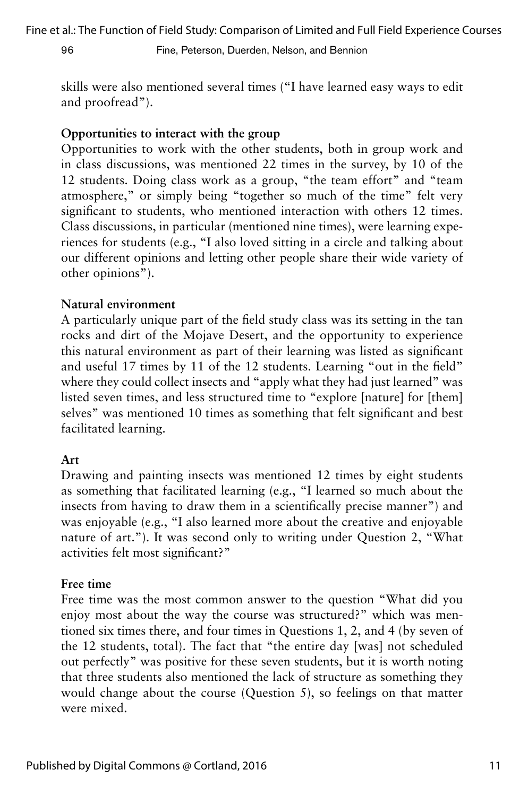96 Fine, Peterson, Duerden, Nelson, and Bennion

skills were also mentioned several times ("I have learned easy ways to edit and proofread").

## **Opportunities to interact with the group**

Opportunities to work with the other students, both in group work and in class discussions, was mentioned 22 times in the survey, by 10 of the 12 students. Doing class work as a group, "the team effort" and "team atmosphere," or simply being "together so much of the time" felt very significant to students, who mentioned interaction with others 12 times. Class discussions, in particular (mentioned nine times), were learning experiences for students (e.g., "I also loved sitting in a circle and talking about our different opinions and letting other people share their wide variety of other opinions").

## **Natural environment**

A particularly unique part of the field study class was its setting in the tan rocks and dirt of the Mojave Desert, and the opportunity to experience this natural environment as part of their learning was listed as significant and useful 17 times by 11 of the 12 students. Learning "out in the field" where they could collect insects and "apply what they had just learned" was listed seven times, and less structured time to "explore [nature] for [them] selves" was mentioned 10 times as something that felt significant and best facilitated learning.

## **Art**

Drawing and painting insects was mentioned 12 times by eight students as something that facilitated learning (e.g., "I learned so much about the insects from having to draw them in a scientifically precise manner") and was enjoyable (e.g., "I also learned more about the creative and enjoyable nature of art."). It was second only to writing under Question 2, "What activities felt most significant?"

## **Free time**

Free time was the most common answer to the question "What did you enjoy most about the way the course was structured?" which was mentioned six times there, and four times in Questions 1, 2, and 4 (by seven of the 12 students, total). The fact that "the entire day [was] not scheduled out perfectly" was positive for these seven students, but it is worth noting that three students also mentioned the lack of structure as something they would change about the course (Question 5), so feelings on that matter were mixed.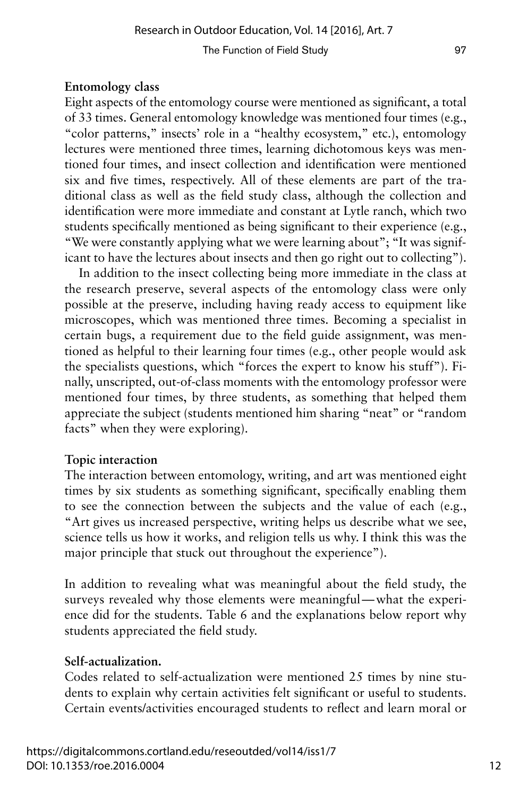#### **Entomology class**

Eight aspects of the entomology course were mentioned as significant, a total of 33 times. General entomology knowledge was mentioned four times (e.g., "color patterns," insects' role in a "healthy ecosystem," etc.), entomology lectures were mentioned three times, learning dichotomous keys was mentioned four times, and insect collection and identification were mentioned six and five times, respectively. All of these elements are part of the traditional class as well as the field study class, although the collection and identification were more immediate and constant at Lytle ranch, which two students specifically mentioned as being significant to their experience (e.g., "We were constantly applying what we were learning about"; "It was significant to have the lectures about insects and then go right out to collecting").

In addition to the insect collecting being more immediate in the class at the research preserve, several aspects of the entomology class were only possible at the preserve, including having ready access to equipment like microscopes, which was mentioned three times. Becoming a specialist in certain bugs, a requirement due to the field guide assignment, was mentioned as helpful to their learning four times (e.g., other people would ask the specialists questions, which "forces the expert to know his stuff"). Finally, unscripted, out-of-class moments with the entomology professor were mentioned four times, by three students, as something that helped them appreciate the subject (students mentioned him sharing "neat" or "random facts" when they were exploring).

#### **Topic interaction**

The interaction between entomology, writing, and art was mentioned eight times by six students as something significant, specifically enabling them to see the connection between the subjects and the value of each (e.g., "Art gives us increased perspective, writing helps us describe what we see, science tells us how it works, and religion tells us why. I think this was the major principle that stuck out throughout the experience").

In addition to revealing what was meaningful about the field study, the surveys revealed why those elements were meaningful—what the experience did for the students. Table 6 and the explanations below report why students appreciated the field study.

## **Self-actualization.**

Codes related to self-actualization were mentioned 25 times by nine students to explain why certain activities felt significant or useful to students. Certain events/activities encouraged students to reflect and learn moral or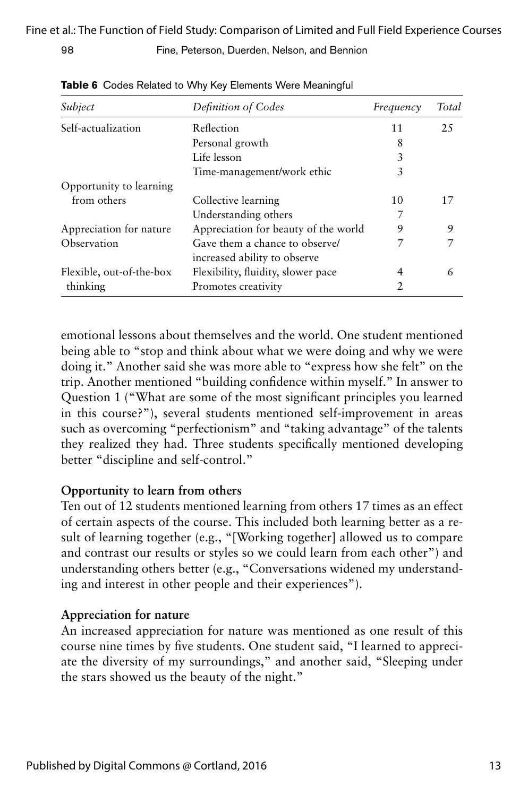98 Fine, Peterson, Duerden, Nelson, and Bennion

| Subject                  | Definition of Codes                                           | Frequency      | Total |
|--------------------------|---------------------------------------------------------------|----------------|-------|
| Self-actualization       | Reflection                                                    | 11             | 2.5   |
|                          | Personal growth                                               | 8              |       |
|                          | Life lesson                                                   | 3              |       |
|                          | Time-management/work ethic                                    | 3              |       |
| Opportunity to learning  |                                                               |                |       |
| from others              | Collective learning                                           | 10             | 17    |
|                          | Understanding others                                          |                |       |
| Appreciation for nature  | Appreciation for beauty of the world                          | 9              | 9     |
| Observation              | Gave them a chance to observe<br>increased ability to observe |                |       |
| Flexible, out-of-the-box | Flexibility, fluidity, slower pace                            | 4              | 6     |
| thinking                 | Promotes creativity                                           | $\mathfrak{D}$ |       |

**Table 6** Codes Related to Why Key Elements Were Meaningful

emotional lessons about themselves and the world. One student mentioned being able to "stop and think about what we were doing and why we were doing it." Another said she was more able to "express how she felt" on the trip. Another mentioned "building confidence within myself." In answer to Question 1 ("What are some of the most significant principles you learned in this course?"), several students mentioned self-improvement in areas such as overcoming "perfectionism" and "taking advantage" of the talents they realized they had. Three students specifically mentioned developing better "discipline and self-control."

## **Opportunity to learn from others**

Ten out of 12 students mentioned learning from others 17 times as an effect of certain aspects of the course. This included both learning better as a result of learning together (e.g., "[Working together] allowed us to compare and contrast our results or styles so we could learn from each other") and understanding others better (e.g., "Conversations widened my understanding and interest in other people and their experiences").

## **Appreciation for nature**

An increased appreciation for nature was mentioned as one result of this course nine times by five students. One student said, "I learned to appreciate the diversity of my surroundings," and another said, "Sleeping under the stars showed us the beauty of the night."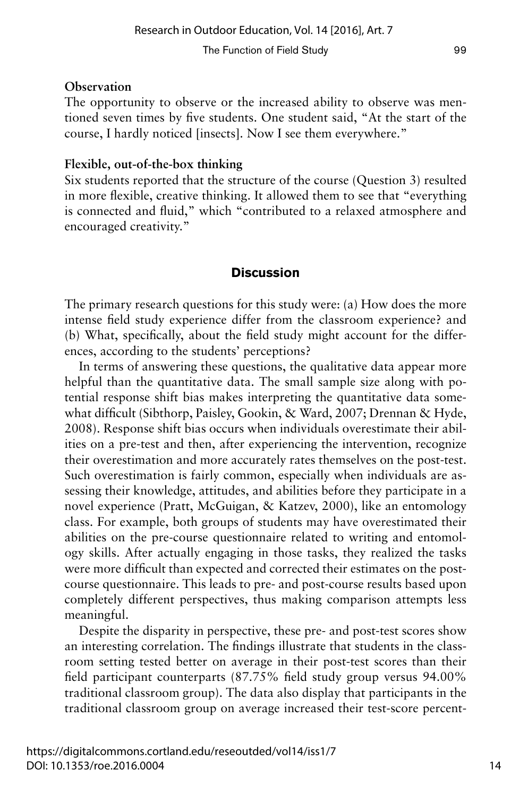## **Observation**

The opportunity to observe or the increased ability to observe was mentioned seven times by five students. One student said, "At the start of the course, I hardly noticed [insects]. Now I see them everywhere."

## **Flexible, out-of-the-box thinking**

Six students reported that the structure of the course (Question 3) resulted in more flexible, creative thinking. It allowed them to see that "everything is connected and fluid," which "contributed to a relaxed atmosphere and encouraged creativity."

## **Discussion**

The primary research questions for this study were: (a) How does the more intense field study experience differ from the classroom experience? and (b) What, specifically, about the field study might account for the differences, according to the students' perceptions?

In terms of answering these questions, the qualitative data appear more helpful than the quantitative data. The small sample size along with potential response shift bias makes interpreting the quantitative data somewhat difficult (Sibthorp, Paisley, Gookin, & Ward, 2007; Drennan & Hyde, 2008). Response shift bias occurs when individuals overestimate their abilities on a pre-test and then, after experiencing the intervention, recognize their overestimation and more accurately rates themselves on the post-test. Such overestimation is fairly common, especially when individuals are assessing their knowledge, attitudes, and abilities before they participate in a novel experience (Pratt, McGuigan, & Katzev, 2000), like an entomology class. For example, both groups of students may have overestimated their abilities on the pre-course questionnaire related to writing and entomology skills. After actually engaging in those tasks, they realized the tasks were more difficult than expected and corrected their estimates on the postcourse questionnaire. This leads to pre- and post-course results based upon completely different perspectives, thus making comparison attempts less meaningful.

Despite the disparity in perspective, these pre- and post-test scores show an interesting correlation. The findings illustrate that students in the classroom setting tested better on average in their post-test scores than their field participant counterparts (87.75% field study group versus 94.00% traditional classroom group). The data also display that participants in the traditional classroom group on average increased their test-score percent-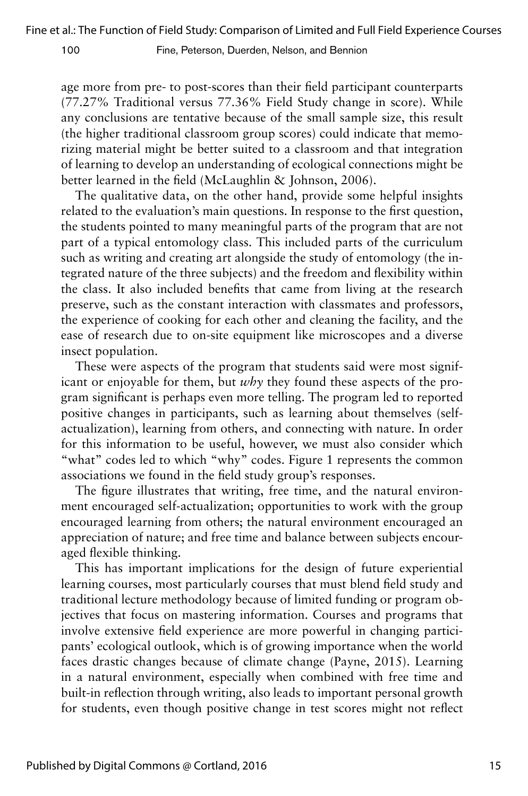100 Fine, Peterson, Duerden, Nelson, and Bennion

age more from pre- to post-scores than their field participant counterparts (77.27% Traditional versus 77.36% Field Study change in score). While any conclusions are tentative because of the small sample size, this result (the higher traditional classroom group scores) could indicate that memorizing material might be better suited to a classroom and that integration of learning to develop an understanding of ecological connections might be better learned in the field (McLaughlin & Johnson, 2006).

The qualitative data, on the other hand, provide some helpful insights related to the evaluation's main questions. In response to the first question, the students pointed to many meaningful parts of the program that are not part of a typical entomology class. This included parts of the curriculum such as writing and creating art alongside the study of entomology (the integrated nature of the three subjects) and the freedom and flexibility within the class. It also included benefits that came from living at the research preserve, such as the constant interaction with classmates and professors, the experience of cooking for each other and cleaning the facility, and the ease of research due to on-site equipment like microscopes and a diverse insect population.

These were aspects of the program that students said were most significant or enjoyable for them, but *why* they found these aspects of the program significant is perhaps even more telling. The program led to reported positive changes in participants, such as learning about themselves (selfactualization), learning from others, and connecting with nature. In order for this information to be useful, however, we must also consider which "what" codes led to which "why" codes. Figure 1 represents the common associations we found in the field study group's responses.

The figure illustrates that writing, free time, and the natural environment encouraged self-actualization; opportunities to work with the group encouraged learning from others; the natural environment encouraged an appreciation of nature; and free time and balance between subjects encouraged flexible thinking.

This has important implications for the design of future experiential learning courses, most particularly courses that must blend field study and traditional lecture methodology because of limited funding or program objectives that focus on mastering information. Courses and programs that involve extensive field experience are more powerful in changing participants' ecological outlook, which is of growing importance when the world faces drastic changes because of climate change (Payne, 2015). Learning in a natural environment, especially when combined with free time and built-in reflection through writing, also leads to important personal growth for students, even though positive change in test scores might not reflect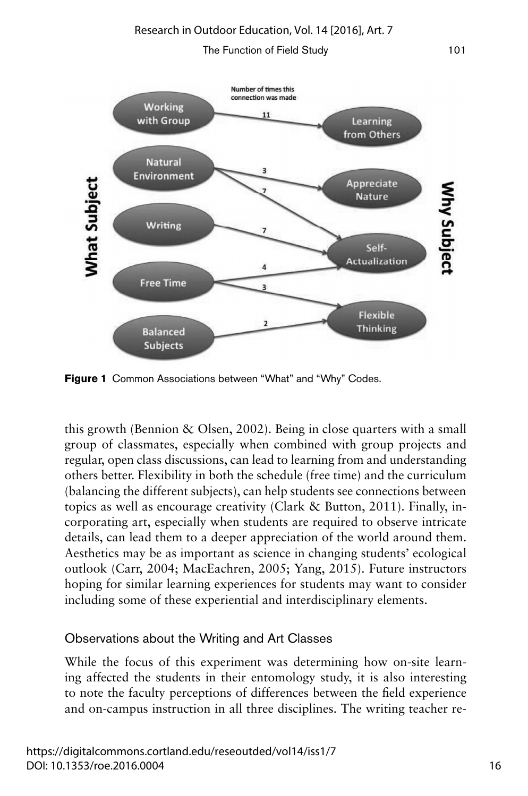

**Figure 1** Common Associations between "What" and "Why" Codes.

this growth (Bennion & Olsen, 2002). Being in close quarters with a small group of classmates, especially when combined with group projects and regular, open class discussions, can lead to learning from and understanding others better. Flexibility in both the schedule (free time) and the curriculum (balancing the different subjects), can help students see connections between topics as well as encourage creativity (Clark & Button, 2011). Finally, incorporating art, especially when students are required to observe intricate details, can lead them to a deeper appreciation of the world around them. Aesthetics may be as important as science in changing students' ecological outlook (Carr, 2004; MacEachren, 2005; Yang, 2015). Future instructors hoping for similar learning experiences for students may want to consider including some of these experiential and interdisciplinary elements.

## Observations about the Writing and Art Classes

While the focus of this experiment was determining how on-site learning affected the students in their entomology study, it is also interesting to note the faculty perceptions of differences between the field experience and on-campus instruction in all three disciplines. The writing teacher re-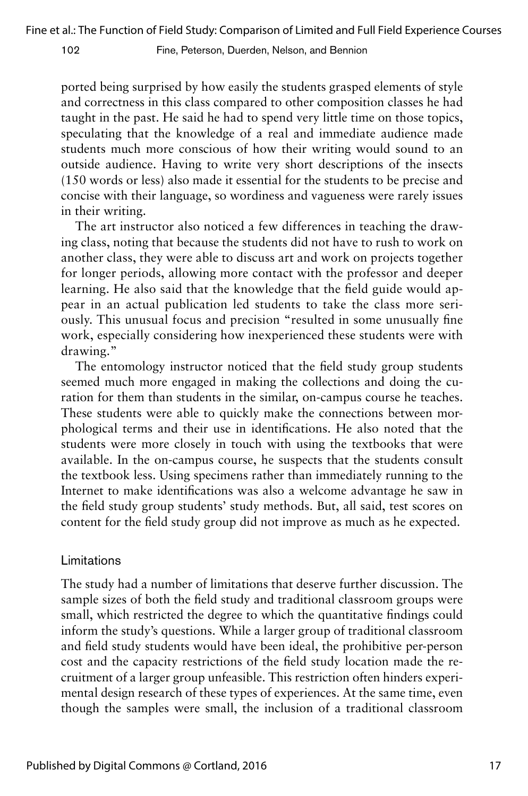102 Fine, Peterson, Duerden, Nelson, and Bennion

ported being surprised by how easily the students grasped elements of style and correctness in this class compared to other composition classes he had taught in the past. He said he had to spend very little time on those topics, speculating that the knowledge of a real and immediate audience made students much more conscious of how their writing would sound to an outside audience. Having to write very short descriptions of the insects (150 words or less) also made it essential for the students to be precise and concise with their language, so wordiness and vagueness were rarely issues in their writing.

The art instructor also noticed a few differences in teaching the drawing class, noting that because the students did not have to rush to work on another class, they were able to discuss art and work on projects together for longer periods, allowing more contact with the professor and deeper learning. He also said that the knowledge that the field guide would appear in an actual publication led students to take the class more seriously. This unusual focus and precision "resulted in some unusually fine work, especially considering how inexperienced these students were with drawing."

The entomology instructor noticed that the field study group students seemed much more engaged in making the collections and doing the curation for them than students in the similar, on-campus course he teaches. These students were able to quickly make the connections between morphological terms and their use in identifications. He also noted that the students were more closely in touch with using the textbooks that were available. In the on-campus course, he suspects that the students consult the textbook less. Using specimens rather than immediately running to the Internet to make identifications was also a welcome advantage he saw in the field study group students' study methods. But, all said, test scores on content for the field study group did not improve as much as he expected.

#### Limitations

The study had a number of limitations that deserve further discussion. The sample sizes of both the field study and traditional classroom groups were small, which restricted the degree to which the quantitative findings could inform the study's questions. While a larger group of traditional classroom and field study students would have been ideal, the prohibitive per-person cost and the capacity restrictions of the field study location made the recruitment of a larger group unfeasible. This restriction often hinders experimental design research of these types of experiences. At the same time, even though the samples were small, the inclusion of a traditional classroom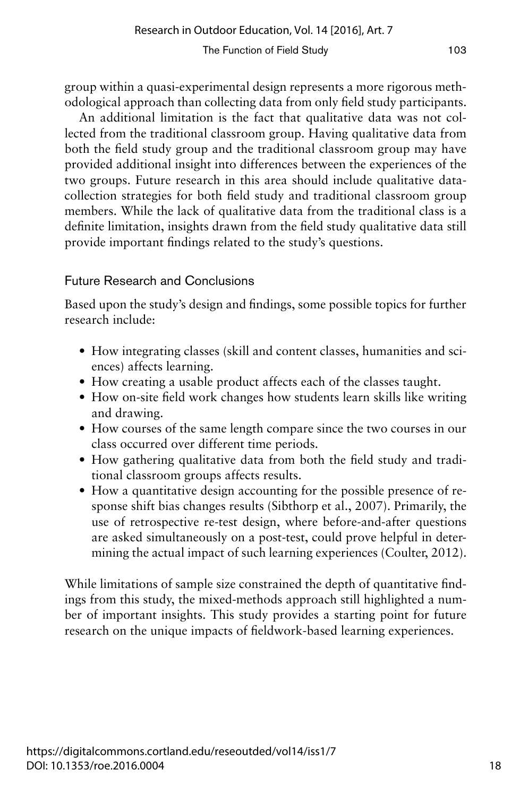group within a quasi-experimental design represents a more rigorous methodological approach than collecting data from only field study participants.

An additional limitation is the fact that qualitative data was not collected from the traditional classroom group. Having qualitative data from both the field study group and the traditional classroom group may have provided additional insight into differences between the experiences of the two groups. Future research in this area should include qualitative datacollection strategies for both field study and traditional classroom group members. While the lack of qualitative data from the traditional class is a definite limitation, insights drawn from the field study qualitative data still provide important findings related to the study's questions.

## Future Research and Conclusions

Based upon the study's design and findings, some possible topics for further research include:

- How integrating classes (skill and content classes, humanities and sciences) affects learning.
- How creating a usable product affects each of the classes taught.
- How on-site field work changes how students learn skills like writing and drawing.
- How courses of the same length compare since the two courses in our class occurred over different time periods.
- How gathering qualitative data from both the field study and traditional classroom groups affects results.
- How a quantitative design accounting for the possible presence of response shift bias changes results (Sibthorp et al., 2007). Primarily, the use of retrospective re-test design, where before-and-after questions are asked simultaneously on a post-test, could prove helpful in determining the actual impact of such learning experiences (Coulter, 2012).

While limitations of sample size constrained the depth of quantitative findings from this study, the mixed-methods approach still highlighted a number of important insights. This study provides a starting point for future research on the unique impacts of fieldwork-based learning experiences.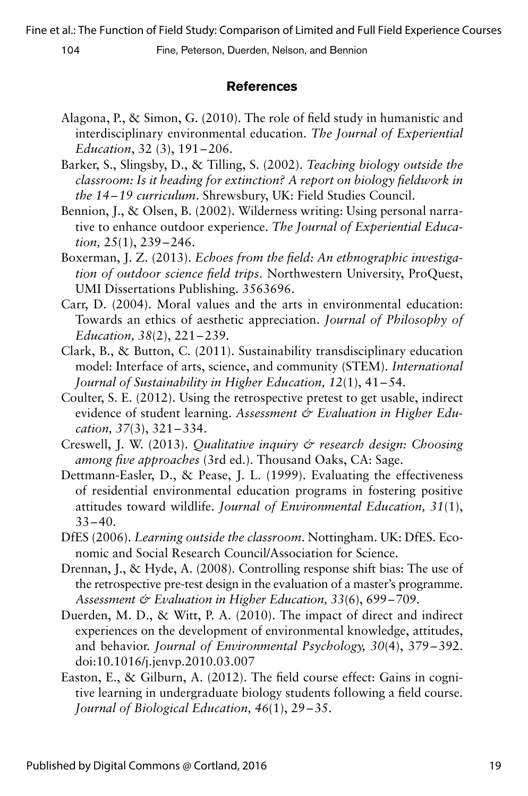104 Fine, Peterson, Duerden, Nelson, and Bennion

## **References**

- Alagona, P., & Simon, G. (2010). The role of field study in humanistic and interdisciplinary environmental education. *The Journal of Experiential Education*, 32 (3), 191–206.
- Barker, S., Slingsby, D., & Tilling, S. (2002). *Teaching biology outside the classroom: Is it heading for extinction? A report on biology fieldwork in the 14–19 curriculum*. Shrewsbury, UK: Field Studies Council.
- Bennion, J., & Olsen, B. (2002). Wilderness writing: Using personal narrative to enhance outdoor experience. *The Journal of Experiential Education,* 25(1), 239–246.
- Boxerman, J. Z. (2013). *Echoes from the field: An ethnographic investigation of outdoor science field trips*. Northwestern University, ProQuest, UMI Dissertations Publishing. 3563696.
- Carr, D. (2004). Moral values and the arts in environmental education: Towards an ethics of aesthetic appreciation. *Journal of Philosophy of Education, 38*(2), 221–239.
- Clark, B., & Button, C. (2011). Sustainability transdisciplinary education model: Interface of arts, science, and community (STEM). *International Journal of Sustainability in Higher Education, 12*(1), 41–54.
- Coulter, S. E. (2012). Using the retrospective pretest to get usable, indirect evidence of student learning. *Assessment & Evaluation in Higher Education, 37*(3), 321–334.
- Creswell, J. W. (2013). *Qualitative inquiry & research design: Choosing among five approaches* (3rd ed.). Thousand Oaks, CA: Sage.
- Dettmann-Easler, D., & Pease, J. L. (1999). Evaluating the effectiveness of residential environmental education programs in fostering positive attitudes toward wildlife. *Journal of Environmental Education, 31*(1), 33–40.
- DfES (2006). *Learning outside the classroom*. Nottingham. UK: DfES. Economic and Social Research Council/Association for Science.
- Drennan, J., & Hyde, A. (2008). Controlling response shift bias: The use of the retrospective pre-test design in the evaluation of a master's programme. *Assessment & Evaluation in Higher Education, 33*(6), 699–709.
- Duerden, M. D., & Witt, P. A. (2010). The impact of direct and indirect experiences on the development of environmental knowledge, attitudes, and behavior. *Journal of Environmental Psychology, 30*(4), 379–392. doi:10.1016/j.jenvp.2010.03.007
- Easton, E., & Gilburn, A. (2012). The field course effect: Gains in cognitive learning in undergraduate biology students following a field course. *Journal of Biological Education, 46*(1), 29–35.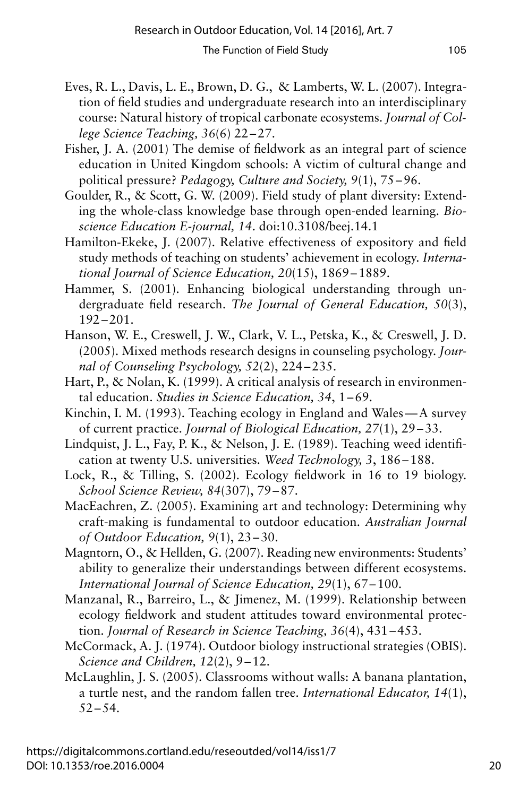- Eves, R. L., Davis, L. E., Brown, D. G., & Lamberts, W. L. (2007). Integration of field studies and undergraduate research into an interdisciplinary course: Natural history of tropical carbonate ecosystems. *Journal of College Science Teaching, 36*(6) 22–27.
- Fisher, J. A. (2001) The demise of fieldwork as an integral part of science education in United Kingdom schools: A victim of cultural change and political pressure? *Pedagogy, Culture and Society, 9*(1), 75–96.
- Goulder, R., & Scott, G. W. (2009). Field study of plant diversity: Extending the whole-class knowledge base through open-ended learning. *Bioscience Education E-journal, 14*. doi:10.3108/beej.14.1
- Hamilton-Ekeke, J. (2007). Relative effectiveness of expository and field study methods of teaching on students' achievement in ecology. *International Journal of Science Education, 20*(15), 1869–1889.
- Hammer, S. (2001). Enhancing biological understanding through undergraduate field research. *The Journal of General Education, 50*(3), 192–201.
- Hanson, W. E., Creswell, J. W., Clark, V. L., Petska, K., & Creswell, J. D. (2005). Mixed methods research designs in counseling psychology. *Journal of Counseling Psychology, 52*(2), 224–235.
- Hart, P., & Nolan, K. (1999). A critical analysis of research in environmental education. *Studies in Science Education, 34*, 1–69.
- Kinchin, I. M. (1993). Teaching ecology in England and Wales—A survey of current practice. *Journal of Biological Education, 27*(1), 29–33.
- Lindquist, J. L., Fay, P. K., & Nelson, J. E. (1989). Teaching weed identification at twenty U.S. universities. *Weed Technology, 3*, 186–188.
- Lock, R., & Tilling, S. (2002). Ecology fieldwork in 16 to 19 biology. *School Science Review, 84*(307), 79–87.
- MacEachren, Z. (2005). Examining art and technology: Determining why craft-making is fundamental to outdoor education. *Australian Journal of Outdoor Education, 9*(1), 23–30.
- Magntorn, O., & Hellden, G. (2007). Reading new environments: Students' ability to generalize their understandings between different ecosystems. *International Journal of Science Education, 29*(1), 67–100.
- Manzanal, R., Barreiro, L., & Jimenez, M. (1999). Relationship between ecology fieldwork and student attitudes toward environmental protection. *Journal of Research in Science Teaching, 36*(4), 431–453.
- McCormack, A. J. (1974). Outdoor biology instructional strategies (OBIS). *Science and Children, 12*(2), 9–12.
- McLaughlin, J. S. (2005). Classrooms without walls: A banana plantation, a turtle nest, and the random fallen tree. *International Educator, 14*(1), 52–54.